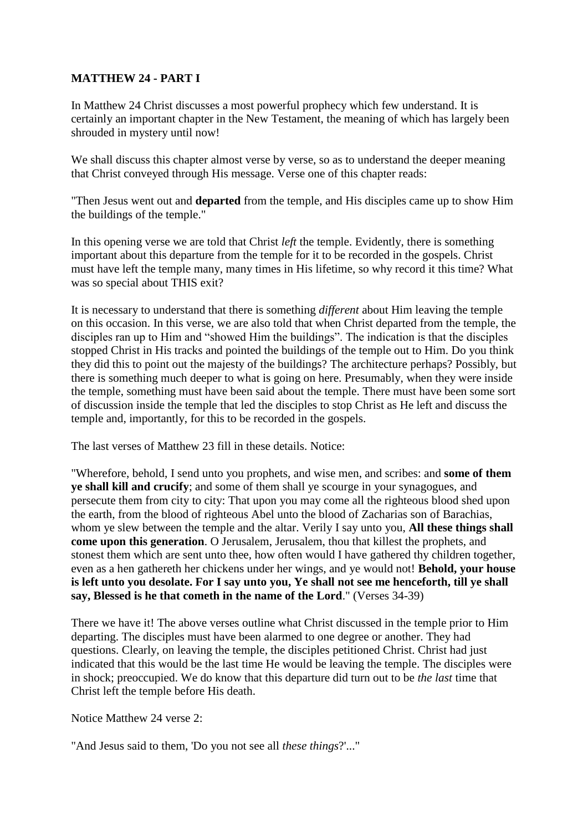## **MATTHEW 24 - PART I**

In Matthew 24 Christ discusses a most powerful prophecy which few understand. It is certainly an important chapter in the New Testament, the meaning of which has largely been shrouded in mystery until now!

We shall discuss this chapter almost verse by verse, so as to understand the deeper meaning that Christ conveyed through His message. Verse one of this chapter reads:

"Then Jesus went out and **departed** from the temple, and His disciples came up to show Him the buildings of the temple."

In this opening verse we are told that Christ *left* the temple. Evidently, there is something important about this departure from the temple for it to be recorded in the gospels. Christ must have left the temple many, many times in His lifetime, so why record it this time? What was so special about THIS exit?

It is necessary to understand that there is something *different* about Him leaving the temple on this occasion. In this verse, we are also told that when Christ departed from the temple, the disciples ran up to Him and "showed Him the buildings". The indication is that the disciples stopped Christ in His tracks and pointed the buildings of the temple out to Him. Do you think they did this to point out the majesty of the buildings? The architecture perhaps? Possibly, but there is something much deeper to what is going on here. Presumably, when they were inside the temple, something must have been said about the temple. There must have been some sort of discussion inside the temple that led the disciples to stop Christ as He left and discuss the temple and, importantly, for this to be recorded in the gospels.

The last verses of Matthew 23 fill in these details. Notice:

"Wherefore, behold, I send unto you prophets, and wise men, and scribes: and **some of them ye shall kill and crucify**; and some of them shall ye scourge in your synagogues, and persecute them from city to city: That upon you may come all the righteous blood shed upon the earth, from the blood of righteous Abel unto the blood of Zacharias son of Barachias, whom ye slew between the temple and the altar. Verily I say unto you, **All these things shall come upon this generation**. O Jerusalem, Jerusalem, thou that killest the prophets, and stonest them which are sent unto thee, how often would I have gathered thy children together, even as a hen gathereth her chickens under her wings, and ye would not! **Behold, your house is left unto you desolate. For I say unto you, Ye shall not see me henceforth, till ye shall say, Blessed is he that cometh in the name of the Lord**." (Verses 34-39)

There we have it! The above verses outline what Christ discussed in the temple prior to Him departing. The disciples must have been alarmed to one degree or another. They had questions. Clearly, on leaving the temple, the disciples petitioned Christ. Christ had just indicated that this would be the last time He would be leaving the temple. The disciples were in shock; preoccupied. We do know that this departure did turn out to be *the last* time that Christ left the temple before His death.

Notice Matthew 24 verse 2:

"And Jesus said to them, 'Do you not see all *these things*?'..."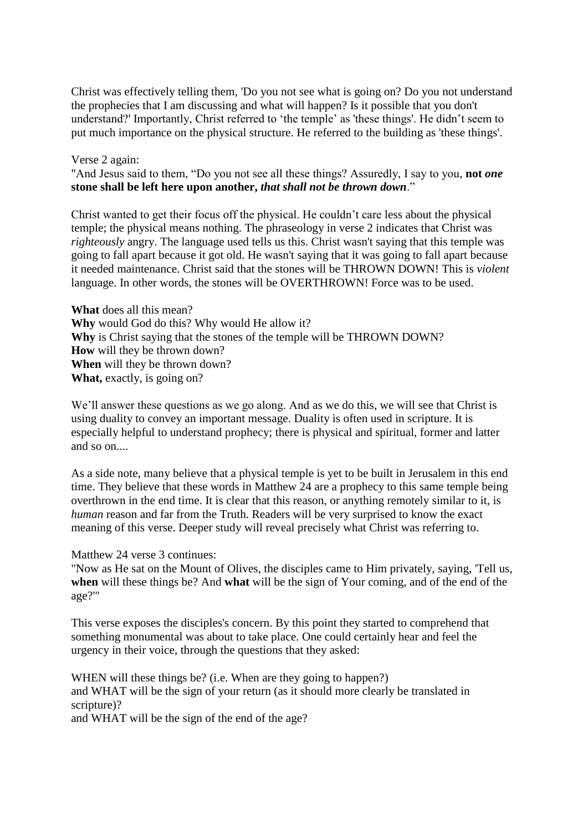Christ was effectively telling them, 'Do you not see what is going on? Do you not understand the prophecies that I am discussing and what will happen? Is it possible that you don't understand?' Importantly, Christ referred to 'the temple' as 'these things'. He didn't seem to put much importance on the physical structure. He referred to the building as 'these things'.

Verse 2 again:

"And Jesus said to them, "Do you not see all these things? Assuredly, I say to you, **not** *one* **stone shall be left here upon another,** *that shall not be thrown down*."

Christ wanted to get their focus off the physical. He couldn't care less about the physical temple; the physical means nothing. The phraseology in verse 2 indicates that Christ was *righteously* angry. The language used tells us this. Christ wasn't saying that this temple was going to fall apart because it got old. He wasn't saying that it was going to fall apart because it needed maintenance. Christ said that the stones will be THROWN DOWN! This is *violent* language. In other words, the stones will be OVERTHROWN! Force was to be used.

**What** does all this mean? **Why** would God do this? Why would He allow it? **Why** is Christ saying that the stones of the temple will be THROWN DOWN? **How** will they be thrown down? **When** will they be thrown down? **What,** exactly, is going on?

We'll answer these questions as we go along. And as we do this, we will see that Christ is using duality to convey an important message. Duality is often used in scripture. It is especially helpful to understand prophecy; there is physical and spiritual, former and latter and so on....

As a side note, many believe that a physical temple is yet to be built in Jerusalem in this end time. They believe that these words in Matthew 24 are a prophecy to this same temple being overthrown in the end time. It is clear that this reason, or anything remotely similar to it, is *human* reason and far from the Truth. Readers will be very surprised to know the exact meaning of this verse. Deeper study will reveal precisely what Christ was referring to.

Matthew 24 verse 3 continues:

"Now as He sat on the Mount of Olives, the disciples came to Him privately, saying, 'Tell us, **when** will these things be? And **what** will be the sign of Your coming, and of the end of the age?'"

This verse exposes the disciples's concern. By this point they started to comprehend that something monumental was about to take place. One could certainly hear and feel the urgency in their voice, through the questions that they asked:

WHEN will these things be? (i.e. When are they going to happen?) and WHAT will be the sign of your return (as it should more clearly be translated in scripture)?

and WHAT will be the sign of the end of the age?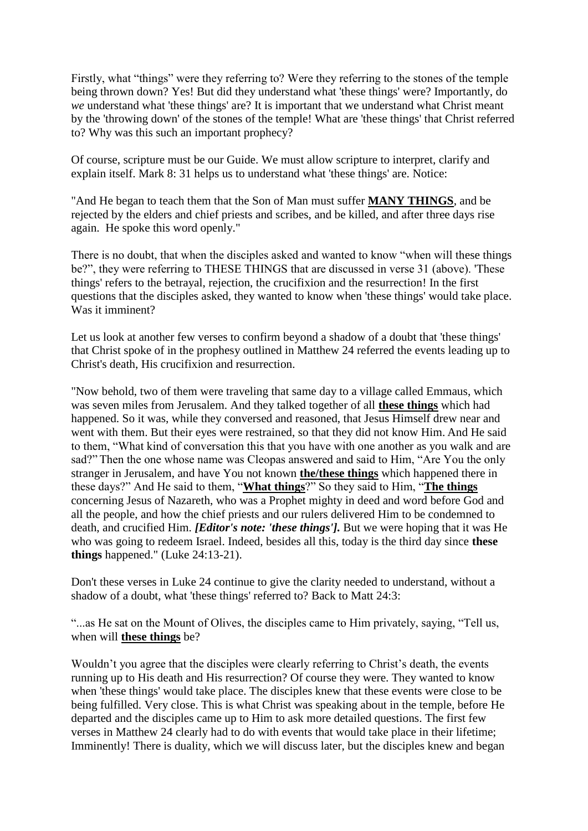Firstly, what "things" were they referring to? Were they referring to the stones of the temple being thrown down? Yes! But did they understand what 'these things' were? Importantly, do *we* understand what 'these things' are? It is important that we understand what Christ meant by the 'throwing down' of the stones of the temple! What are 'these things' that Christ referred to? Why was this such an important prophecy?

Of course, scripture must be our Guide. We must allow scripture to interpret, clarify and explain itself. Mark 8: 31 helps us to understand what 'these things' are. Notice:

"And He began to teach them that the Son of Man must suffer **MANY THINGS**, and be rejected by the elders and chief priests and scribes, and be killed, and after three days rise again. He spoke this word openly."

There is no doubt, that when the disciples asked and wanted to know "when will these things be?", they were referring to THESE THINGS that are discussed in verse 31 (above). 'These things' refers to the betrayal, rejection, the crucifixion and the resurrection! In the first questions that the disciples asked, they wanted to know when 'these things' would take place. Was it imminent?

Let us look at another few verses to confirm beyond a shadow of a doubt that 'these things' that Christ spoke of in the prophesy outlined in Matthew 24 referred the events leading up to Christ's death, His crucifixion and resurrection.

"Now behold, two of them were traveling that same day to a village called Emmaus, which was seven miles from Jerusalem. And they talked together of all **these things** which had happened. So it was, while they conversed and reasoned, that Jesus Himself drew near and went with them. But their eyes were restrained, so that they did not know Him. And He said to them, "What kind of conversation this that you have with one another as you walk and are sad?" Then the one whose name was Cleopas answered and said to Him, "Are You the only stranger in Jerusalem, and have You not known **the/these things** which happened there in these days?" And He said to them, "**What things**?" So they said to Him, "**The things** concerning Jesus of Nazareth, who was a Prophet mighty in deed and word before God and all the people, and how the chief priests and our rulers delivered Him to be condemned to death, and crucified Him. *[Editor's note: 'these things'].* But we were hoping that it was He who was going to redeem Israel. Indeed, besides all this, today is the third day since **these things** happened." (Luke 24:13-21).

Don't these verses in Luke 24 continue to give the clarity needed to understand, without a shadow of a doubt, what 'these things' referred to? Back to Matt 24:3:

"...as He sat on the Mount of Olives, the disciples came to Him privately, saying, "Tell us, when will **these things** be?

Wouldn't you agree that the disciples were clearly referring to Christ's death, the events running up to His death and His resurrection? Of course they were. They wanted to know when 'these things' would take place. The disciples knew that these events were close to be being fulfilled. Very close. This is what Christ was speaking about in the temple, before He departed and the disciples came up to Him to ask more detailed questions. The first few verses in Matthew 24 clearly had to do with events that would take place in their lifetime; Imminently! There is duality, which we will discuss later, but the disciples knew and began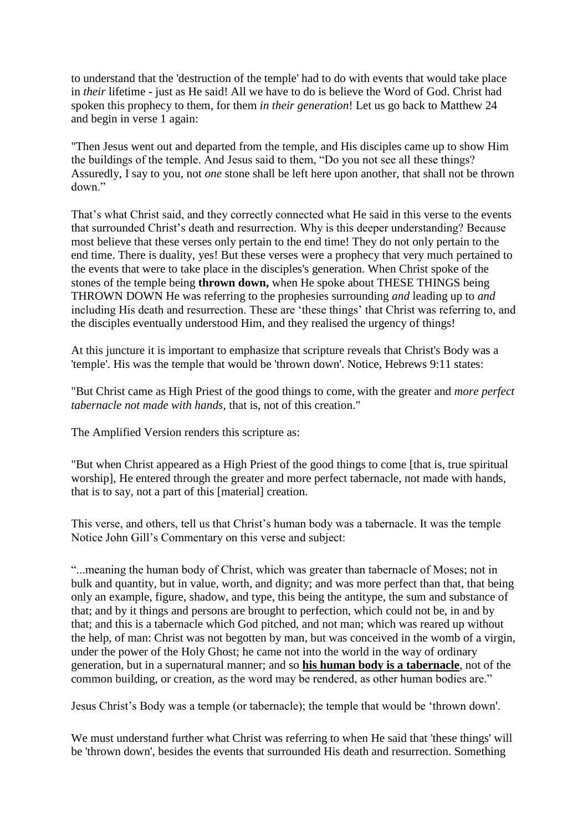to understand that the 'destruction of the temple' had to do with events that would take place in *their* lifetime - just as He said! All we have to do is believe the Word of God. Christ had spoken this prophecy to them, for them *in their generation*! Let us go back to Matthew 24 and begin in verse 1 again:

"Then Jesus went out and departed from the temple, and His disciples came up to show Him the buildings of the temple. And Jesus said to them, "Do you not see all these things? Assuredly, I say to you, not *one* stone shall be left here upon another, that shall not be thrown down."

That's what Christ said, and they correctly connected what He said in this verse to the events that surrounded Christ's death and resurrection. Why is this deeper understanding? Because most believe that these verses only pertain to the end time! They do not only pertain to the end time. There is duality, yes! But these verses were a prophecy that very much pertained to the events that were to take place in the disciples's generation. When Christ spoke of the stones of the temple being **thrown down,** when He spoke about THESE THINGS being THROWN DOWN He was referring to the prophesies surrounding *and* leading up to *and*  including His death and resurrection. These are 'these things' that Christ was referring to, and the disciples eventually understood Him, and they realised the urgency of things!

At this juncture it is important to emphasize that scripture reveals that Christ's Body was a 'temple'. His was the temple that would be 'thrown down'. Notice, Hebrews 9:11 states:

"But Christ came as High Priest of the good things to come, with the greater and *more perfect tabernacle not made with hands*, that is, not of this creation."

The Amplified Version renders this scripture as:

"But when Christ appeared as a High Priest of the good things to come [that is, true spiritual worship], He entered through the greater and more perfect tabernacle, not made with hands, that is to say, not a part of this [material] creation.

This verse, and others, tell us that Christ's human body was a tabernacle. It was the temple Notice John Gill's Commentary on this verse and subject:

"...meaning the human body of Christ, which was greater than tabernacle of Moses; not in bulk and quantity, but in value, worth, and dignity; and was more perfect than that, that being only an example, figure, shadow, and type, this being the antitype, the sum and substance of that; and by it things and persons are brought to perfection, which could not be, in and by that; and this is a tabernacle which God pitched, and not man; which was reared up without the help, of man: Christ was not begotten by man, but was conceived in the womb of a virgin, under the power of the Holy Ghost; he came not into the world in the way of ordinary generation, but in a supernatural manner; and so **his human body is a tabernacle**, not of the common building, or creation, as the word may be rendered, as other human bodies are."

Jesus Christ's Body was a temple (or tabernacle); the temple that would be 'thrown down'.

We must understand further what Christ was referring to when He said that 'these things' will be 'thrown down', besides the events that surrounded His death and resurrection. Something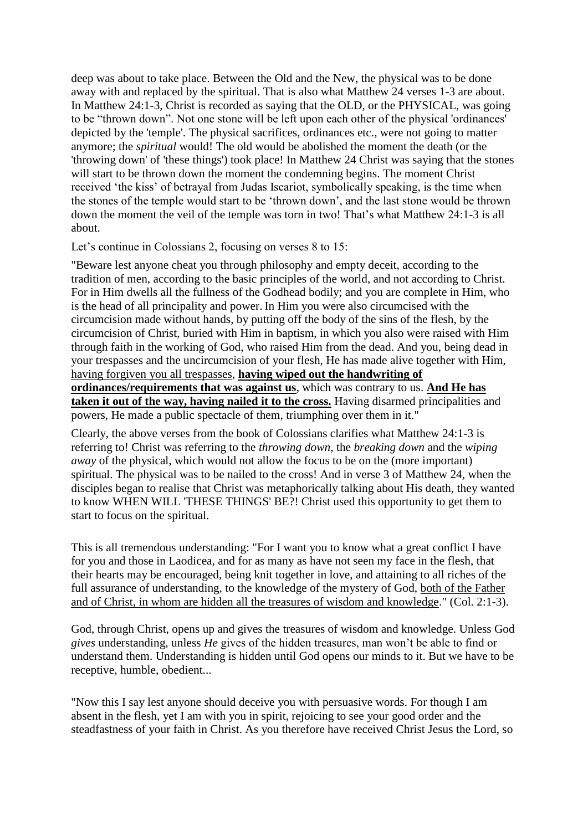deep was about to take place. Between the Old and the New, the physical was to be done away with and replaced by the spiritual. That is also what Matthew 24 verses 1-3 are about. In Matthew 24:1-3, Christ is recorded as saying that the OLD, or the PHYSICAL, was going to be "thrown down". Not one stone will be left upon each other of the physical 'ordinances' depicted by the 'temple'. The physical sacrifices, ordinances etc., were not going to matter anymore; the *spiritual* would! The old would be abolished the moment the death (or the 'throwing down' of 'these things') took place! In Matthew 24 Christ was saying that the stones will start to be thrown down the moment the condemning begins. The moment Christ received 'the kiss' of betrayal from Judas Iscariot, symbolically speaking, is the time when the stones of the temple would start to be 'thrown down', and the last stone would be thrown down the moment the veil of the temple was torn in two! That's what Matthew 24:1-3 is all about.

Let's continue in Colossians 2, focusing on verses 8 to 15:

"Beware lest anyone cheat you through philosophy and empty deceit, according to the tradition of men, according to the basic principles of the world, and not according to Christ. For in Him dwells all the fullness of the Godhead bodily; and you are complete in Him, who is the head of all principality and power. In Him you were also circumcised with the circumcision made without hands, by putting off the body of the sins of the flesh, by the circumcision of Christ, buried with Him in baptism, in which you also were raised with Him through faith in the working of God, who raised Him from the dead. And you, being dead in your trespasses and the uncircumcision of your flesh, He has made alive together with Him, having forgiven you all trespasses, **having wiped out the handwriting of ordinances/requirements that was against us**, which was contrary to us. **And He has taken it out of the way, having nailed it to the cross.** Having disarmed principalities and powers, He made a public spectacle of them, triumphing over them in it."

Clearly, the above verses from the book of Colossians clarifies what Matthew 24:1-3 is referring to! Christ was referring to the *throwing down*, the *breaking down* and the *wiping away* of the physical, which would not allow the focus to be on the (more important) spiritual. The physical was to be nailed to the cross! And in verse 3 of Matthew 24, when the disciples began to realise that Christ was metaphorically talking about His death, they wanted to know WHEN WILL 'THESE THINGS' BE?! Christ used this opportunity to get them to start to focus on the spiritual.

This is all tremendous understanding: "For I want you to know what a great conflict I have for you and those in Laodicea, and for as many as have not seen my face in the flesh, that their hearts may be encouraged, being knit together in love, and attaining to all riches of the full assurance of understanding, to the knowledge of the mystery of God, both of the Father and of Christ, in whom are hidden all the treasures of wisdom and knowledge." (Col. 2:1-3).

God, through Christ, opens up and gives the treasures of wisdom and knowledge. Unless God *gives* understanding, unless *He* gives of the hidden treasures, man won't be able to find or understand them. Understanding is hidden until God opens our minds to it. But we have to be receptive, humble, obedient...

"Now this I say lest anyone should deceive you with persuasive words. For though I am absent in the flesh, yet I am with you in spirit, rejoicing to see your good order and the steadfastness of your faith in Christ. As you therefore have received Christ Jesus the Lord, so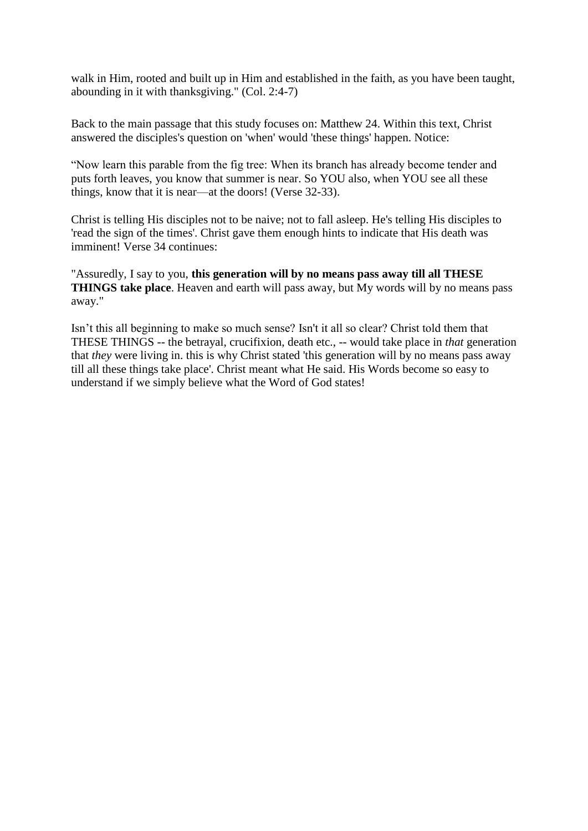walk in Him, rooted and built up in Him and established in the faith, as you have been taught, abounding in it with thanksgiving." (Col. 2:4-7)

Back to the main passage that this study focuses on: Matthew 24. Within this text, Christ answered the disciples's question on 'when' would 'these things' happen. Notice:

"Now learn this parable from the fig tree: When its branch has already become tender and puts forth leaves, you know that summer is near. So YOU also, when YOU see all these things, know that it is near—at the doors! (Verse 32-33).

Christ is telling His disciples not to be naive; not to fall asleep. He's telling His disciples to 'read the sign of the times'. Christ gave them enough hints to indicate that His death was imminent! Verse 34 continues:

"Assuredly, I say to you, **this generation will by no means pass away till all THESE THINGS take place**. Heaven and earth will pass away, but My words will by no means pass away."

Isn't this all beginning to make so much sense? Isn't it all so clear? Christ told them that THESE THINGS -- the betrayal, crucifixion, death etc., -- would take place in *that* generation that *they* were living in. this is why Christ stated 'this generation will by no means pass away till all these things take place'. Christ meant what He said. His Words become so easy to understand if we simply believe what the Word of God states!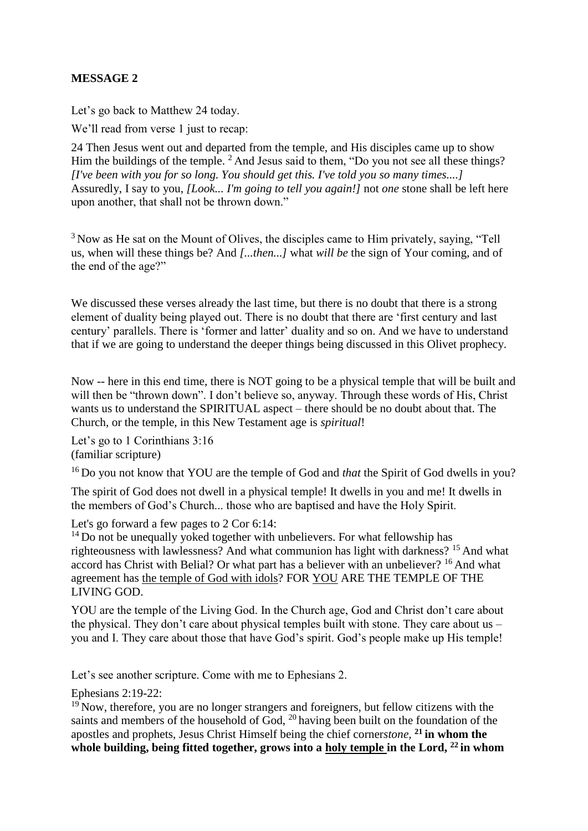## **MESSAGE 2**

Let's go back to Matthew 24 today.

We'll read from verse 1 just to recap:

24 Then Jesus went out and departed from the temple, and His disciples came up to show Him the buildings of the temple. <sup>2</sup> And Jesus said to them, "Do you not see all these things? *[I've been with you for so long. You should get this. I've told you so many times....]*  Assuredly, I say to you, *[Look... I'm going to tell you again!]* not *one* stone shall be left here upon another, that shall not be thrown down."

<sup>3</sup> Now as He sat on the Mount of Olives, the disciples came to Him privately, saying, "Tell us, when will these things be? And *[...then...]* what *will be* the sign of Your coming, and of the end of the age?"

We discussed these verses already the last time, but there is no doubt that there is a strong element of duality being played out. There is no doubt that there are 'first century and last century' parallels. There is 'former and latter' duality and so on. And we have to understand that if we are going to understand the deeper things being discussed in this Olivet prophecy.

Now -- here in this end time, there is NOT going to be a physical temple that will be built and will then be "thrown down". I don't believe so, anyway. Through these words of His, Christ wants us to understand the SPIRITUAL aspect – there should be no doubt about that. The Church, or the temple, in this New Testament age is *spiritual*!

Let's go to 1 Corinthians 3:16 (familiar scripture)

<sup>16</sup> Do you not know that YOU are the temple of God and *that* the Spirit of God dwells in you?

The spirit of God does not dwell in a physical temple! It dwells in you and me! It dwells in the members of God's Church... those who are baptised and have the Holy Spirit.

Let's go forward a few pages to 2 Cor 6:14:

 $14$  Do not be unequally voked together with unbelievers. For what fellowship has righteousness with lawlessness? And what communion has light with darkness? <sup>15</sup> And what accord has Christ with Belial? Or what part has a believer with an unbeliever? <sup>16</sup> And what agreement has the temple of God with idols? FOR YOU ARE THE TEMPLE OF THE LIVING GOD.

YOU are the temple of the Living God. In the Church age, God and Christ don't care about the physical. They don't care about physical temples built with stone. They care about us – you and I. They care about those that have God's spirit. God's people make up His temple!

Let's see another scripture. Come with me to Ephesians 2.

Ephesians 2:19-22:

 $19$  Now, therefore, you are no longer strangers and foreigners, but fellow citizens with the saints and members of the household of God,  $^{20}$  having been built on the foundation of the apostles and prophets, Jesus Christ Himself being the chief corner*stone,* **<sup>21</sup> in whom the whole building, being fitted together, grows into a holy temple in the Lord, <sup>22</sup> in whom**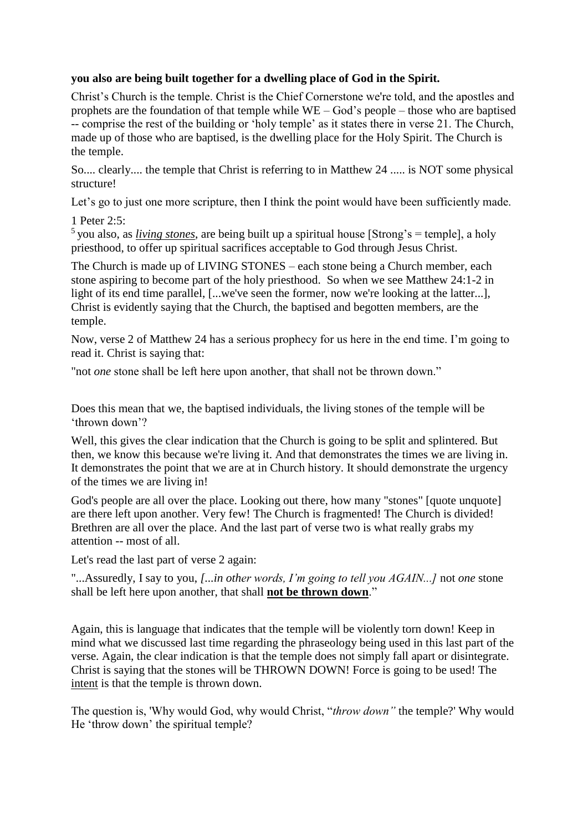## **you also are being built together for a dwelling place of God in the Spirit.**

Christ's Church is the temple. Christ is the Chief Cornerstone we're told, and the apostles and prophets are the foundation of that temple while WE – God's people – those who are baptised -- comprise the rest of the building or 'holy temple' as it states there in verse 21. The Church, made up of those who are baptised, is the dwelling place for the Holy Spirit. The Church is the temple.

So.... clearly.... the temple that Christ is referring to in Matthew 24 ..... is NOT some physical structure!

Let's go to just one more scripture, then I think the point would have been sufficiently made.

1 Peter 2:5:

<sup>5</sup> you also, as *living stones*, are being built up a spiritual house [Strong's = temple], a holy priesthood, to offer up spiritual sacrifices acceptable to God through Jesus Christ.

The Church is made up of LIVING STONES – each stone being a Church member, each stone aspiring to become part of the holy priesthood. So when we see Matthew 24:1-2 in light of its end time parallel, [...we've seen the former, now we're looking at the latter...], Christ is evidently saying that the Church, the baptised and begotten members, are the temple.

Now, verse 2 of Matthew 24 has a serious prophecy for us here in the end time. I'm going to read it. Christ is saying that:

"not *one* stone shall be left here upon another, that shall not be thrown down."

Does this mean that we, the baptised individuals, the living stones of the temple will be 'thrown down'?

Well, this gives the clear indication that the Church is going to be split and splintered. But then, we know this because we're living it. And that demonstrates the times we are living in. It demonstrates the point that we are at in Church history. It should demonstrate the urgency of the times we are living in!

God's people are all over the place. Looking out there, how many "stones" [quote unquote] are there left upon another. Very few! The Church is fragmented! The Church is divided! Brethren are all over the place. And the last part of verse two is what really grabs my attention -- most of all.

Let's read the last part of verse 2 again:

"...Assuredly, I say to you, *[...in other words, I'm going to tell you AGAIN...]* not *one* stone shall be left here upon another, that shall **not be thrown down**."

Again, this is language that indicates that the temple will be violently torn down! Keep in mind what we discussed last time regarding the phraseology being used in this last part of the verse. Again, the clear indication is that the temple does not simply fall apart or disintegrate. Christ is saying that the stones will be THROWN DOWN! Force is going to be used! The intent is that the temple is thrown down.

The question is, 'Why would God, why would Christ, "*throw down"* the temple?' Why would He 'throw down' the spiritual temple?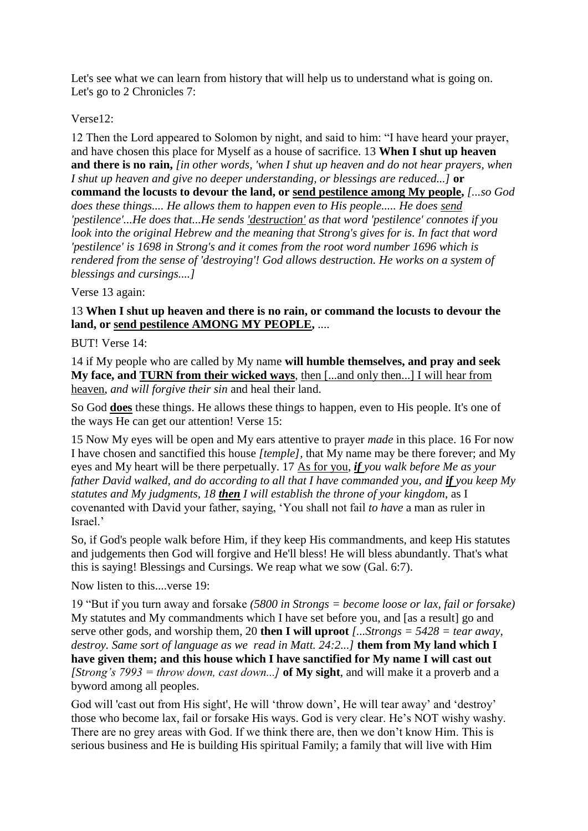Let's see what we can learn from history that will help us to understand what is going on. Let's go to 2 Chronicles 7:

## Verse12:

12 Then the Lord appeared to Solomon by night, and said to him: "I have heard your prayer, and have chosen this place for Myself as a house of sacrifice. 13 **When I shut up heaven and there is no rain,** *[in other words, 'when I shut up heaven and do not hear prayers, when I shut up heaven and give no deeper understanding, or blessings are reduced...]* **or command the locusts to devour the land, or send pestilence among My people,** *[...so God does these things.... He allows them to happen even to His people..... He does send 'pestilence'...He does that...He sends 'destruction' as that word 'pestilence' connotes if you look into the original Hebrew and the meaning that Strong's gives for is. In fact that word 'pestilence' is 1698 in Strong's and it comes from the root word number 1696 which is rendered from the sense of 'destroying'! God allows destruction. He works on a system of blessings and cursings....]*

Verse 13 again:

## 13 **When I shut up heaven and there is no rain, or command the locusts to devour the land, or send pestilence AMONG MY PEOPLE,** ....

# BUT! Verse 14:

14 if My people who are called by My name **will humble themselves, and pray and seek My face, and TURN from their wicked ways**, then [...and only then...] I will hear from heaven, *and will forgive their sin* and heal their land.

So God **does** these things. He allows these things to happen, even to His people. It's one of the ways He can get our attention! Verse 15:

15 Now My eyes will be open and My ears attentive to prayer *made* in this place. 16 For now I have chosen and sanctified this house *[temple],* that My name may be there forever; and My eyes and My heart will be there perpetually. 17 As for you, *if you walk before Me as your father David walked, and do according to all that I have commanded you, and if you keep My statutes and My judgments, 18 then I will establish the throne of your kingdom*, as I covenanted with David your father, saying, 'You shall not fail *to have* a man as ruler in Israel.'

So, if God's people walk before Him, if they keep His commandments, and keep His statutes and judgements then God will forgive and He'll bless! He will bless abundantly. That's what this is saying! Blessings and Cursings. We reap what we sow (Gal. 6:7).

Now listen to this....verse 19:

19 "But if you turn away and forsake *(5800 in Strongs = become loose or lax, fail or forsake)*  My statutes and My commandments which I have set before you, and [as a result] go and serve other gods, and worship them, 20 **then I will uproot** *[...Strongs = 5428 = tear away, destroy. Same sort of language as we read in Matt. 24:2...]* **them from My land which I have given them; and this house which I have sanctified for My name I will cast out**  *[Strong's 7993 = throw down, cast down...]* **of My sight**, and will make it a proverb and a byword among all peoples.

God will 'cast out from His sight', He will 'throw down', He will tear away' and 'destroy' those who become lax, fail or forsake His ways. God is very clear. He's NOT wishy washy. There are no grey areas with God. If we think there are, then we don't know Him. This is serious business and He is building His spiritual Family; a family that will live with Him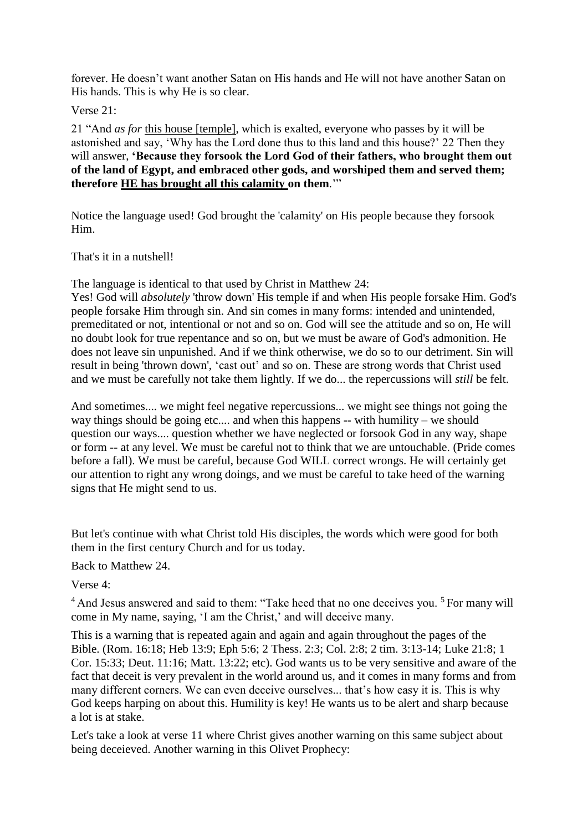forever. He doesn't want another Satan on His hands and He will not have another Satan on His hands. This is why He is so clear.

### Verse 21:

21 "And *as for* this house [temple], which is exalted, everyone who passes by it will be astonished and say, 'Why has the Lord done thus to this land and this house?' 22 Then they will answer, **'Because they forsook the Lord God of their fathers, who brought them out of the land of Egypt, and embraced other gods, and worshiped them and served them; therefore HE has brought all this calamity on them**.'"

Notice the language used! God brought the 'calamity' on His people because they forsook Him.

### That's it in a nutshell!

The language is identical to that used by Christ in Matthew 24:

Yes! God will *absolutely* 'throw down' His temple if and when His people forsake Him. God's people forsake Him through sin. And sin comes in many forms: intended and unintended, premeditated or not, intentional or not and so on. God will see the attitude and so on, He will no doubt look for true repentance and so on, but we must be aware of God's admonition. He does not leave sin unpunished. And if we think otherwise, we do so to our detriment. Sin will result in being 'thrown down', 'cast out' and so on. These are strong words that Christ used and we must be carefully not take them lightly. If we do... the repercussions will *still* be felt.

And sometimes.... we might feel negative repercussions... we might see things not going the way things should be going etc.... and when this happens -- with humility – we should question our ways.... question whether we have neglected or forsook God in any way, shape or form -- at any level. We must be careful not to think that we are untouchable. (Pride comes before a fall). We must be careful, because God WILL correct wrongs. He will certainly get our attention to right any wrong doings, and we must be careful to take heed of the warning signs that He might send to us.

But let's continue with what Christ told His disciples, the words which were good for both them in the first century Church and for us today.

Back to Matthew 24.

Verse 4:

 $<sup>4</sup>$  And Jesus answered and said to them: "Take heed that no one deceives you.  $<sup>5</sup>$  For many will</sup></sup> come in My name, saying, 'I am the Christ,' and will deceive many.

This is a warning that is repeated again and again and again throughout the pages of the Bible. (Rom. 16:18; Heb 13:9; Eph 5:6; 2 Thess. 2:3; Col. 2:8; 2 tim. 3:13-14; Luke 21:8; 1 Cor. 15:33; Deut. 11:16; Matt. 13:22; etc). God wants us to be very sensitive and aware of the fact that deceit is very prevalent in the world around us, and it comes in many forms and from many different corners. We can even deceive ourselves... that's how easy it is. This is why God keeps harping on about this. Humility is key! He wants us to be alert and sharp because a lot is at stake.

Let's take a look at verse 11 where Christ gives another warning on this same subject about being deceieved. Another warning in this Olivet Prophecy: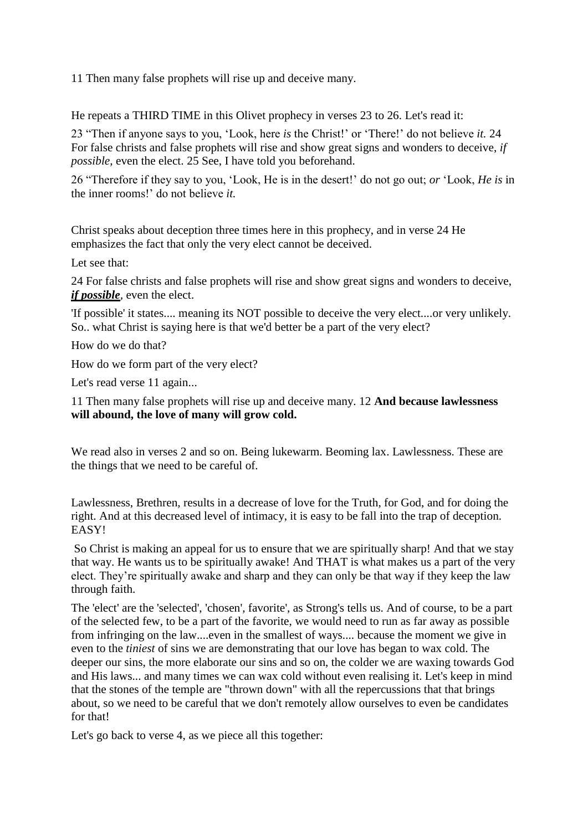11 Then many false prophets will rise up and deceive many.

He repeats a THIRD TIME in this Olivet prophecy in verses 23 to 26. Let's read it:

23 "Then if anyone says to you, 'Look, here *is* the Christ!' or 'There!' do not believe *it.* 24 For false christs and false prophets will rise and show great signs and wonders to deceive, *if possible*, even the elect. 25 See, I have told you beforehand.

26 "Therefore if they say to you, 'Look, He is in the desert!' do not go out; *or* 'Look, *He is* in the inner rooms!' do not believe *it.*

Christ speaks about deception three times here in this prophecy, and in verse 24 He emphasizes the fact that only the very elect cannot be deceived.

Let see that:

24 For false christs and false prophets will rise and show great signs and wonders to deceive, *if possible,* even the elect.

'If possible' it states.... meaning its NOT possible to deceive the very elect....or very unlikely. So.. what Christ is saying here is that we'd better be a part of the very elect?

How do we do that?

How do we form part of the very elect?

Let's read verse 11 again...

11 Then many false prophets will rise up and deceive many. 12 **And because lawlessness will abound, the love of many will grow cold.** 

We read also in verses 2 and so on. Being lukewarm. Beoming lax. Lawlessness. These are the things that we need to be careful of.

Lawlessness, Brethren, results in a decrease of love for the Truth, for God, and for doing the right. And at this decreased level of intimacy, it is easy to be fall into the trap of deception. EASY!

So Christ is making an appeal for us to ensure that we are spiritually sharp! And that we stay that way. He wants us to be spiritually awake! And THAT is what makes us a part of the very elect. They're spiritually awake and sharp and they can only be that way if they keep the law through faith.

The 'elect' are the 'selected', 'chosen', favorite', as Strong's tells us. And of course, to be a part of the selected few, to be a part of the favorite, we would need to run as far away as possible from infringing on the law....even in the smallest of ways.... because the moment we give in even to the *tiniest* of sins we are demonstrating that our love has began to wax cold. The deeper our sins, the more elaborate our sins and so on, the colder we are waxing towards God and His laws... and many times we can wax cold without even realising it. Let's keep in mind that the stones of the temple are "thrown down" with all the repercussions that that brings about, so we need to be careful that we don't remotely allow ourselves to even be candidates for that!

Let's go back to verse 4, as we piece all this together: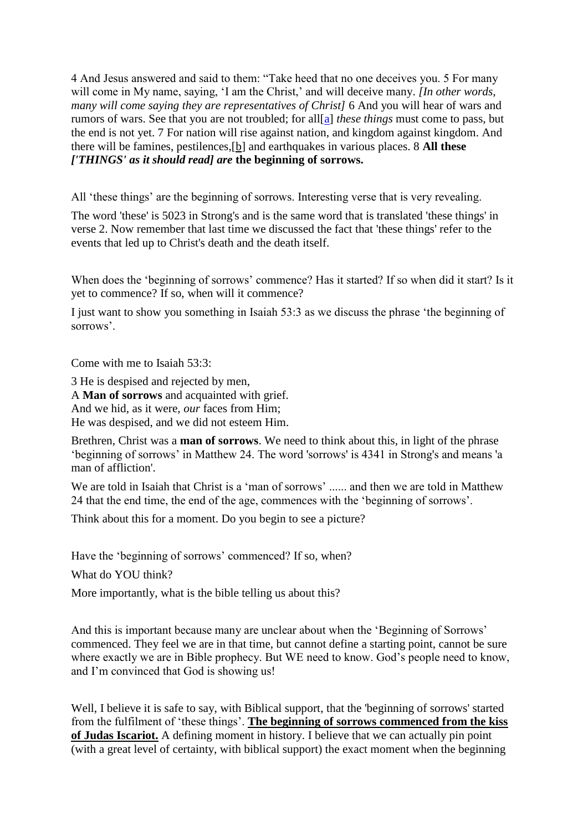4 And Jesus answered and said to them: "Take heed that no one deceives you. 5 For many will come in My name, saying, 'I am the Christ,' and will deceive many. *[In other words, many will come saying they are representatives of Christ]* 6 And you will hear of wars and rumors of wars. See that you are not troubled; for all[\[a\]](file:///C:/l) *these things* must come to pass, but the end is not yet. 7 For nation will rise against nation, and kingdom against kingdom. And there will be famines, pestilences,[b] and earthquakes in various places. 8 **All these** *['THINGS' as it should read] are* **the beginning of sorrows.**

All 'these things' are the beginning of sorrows. Interesting verse that is very revealing.

The word 'these' is 5023 in Strong's and is the same word that is translated 'these things' in verse 2. Now remember that last time we discussed the fact that 'these things' refer to the events that led up to Christ's death and the death itself.

When does the 'beginning of sorrows' commence? Has it started? If so when did it start? Is it yet to commence? If so, when will it commence?

I just want to show you something in Isaiah 53:3 as we discuss the phrase 'the beginning of sorrows'.

Come with me to Isaiah 53:3:

3 He is despised and rejected by men, A **Man of sorrows** and acquainted with grief. And we hid, as it were, *our* faces from Him; He was despised, and we did not esteem Him.

Brethren, Christ was a **man of sorrows**. We need to think about this, in light of the phrase 'beginning of sorrows' in Matthew 24. The word 'sorrows' is 4341 in Strong's and means 'a man of affliction'.

We are told in Isaiah that Christ is a 'man of sorrows' ...... and then we are told in Matthew 24 that the end time, the end of the age, commences with the 'beginning of sorrows'.

Think about this for a moment. Do you begin to see a picture?

Have the 'beginning of sorrows' commenced? If so, when?

What do YOU think?

More importantly, what is the bible telling us about this?

And this is important because many are unclear about when the 'Beginning of Sorrows' commenced. They feel we are in that time, but cannot define a starting point, cannot be sure where exactly we are in Bible prophecy. But WE need to know. God's people need to know, and I'm convinced that God is showing us!

Well, I believe it is safe to say, with Biblical support, that the 'beginning of sorrows' started from the fulfilment of 'these things'. **The beginning of sorrows commenced from the kiss of Judas Iscariot.** A defining moment in history. I believe that we can actually pin point (with a great level of certainty, with biblical support) the exact moment when the beginning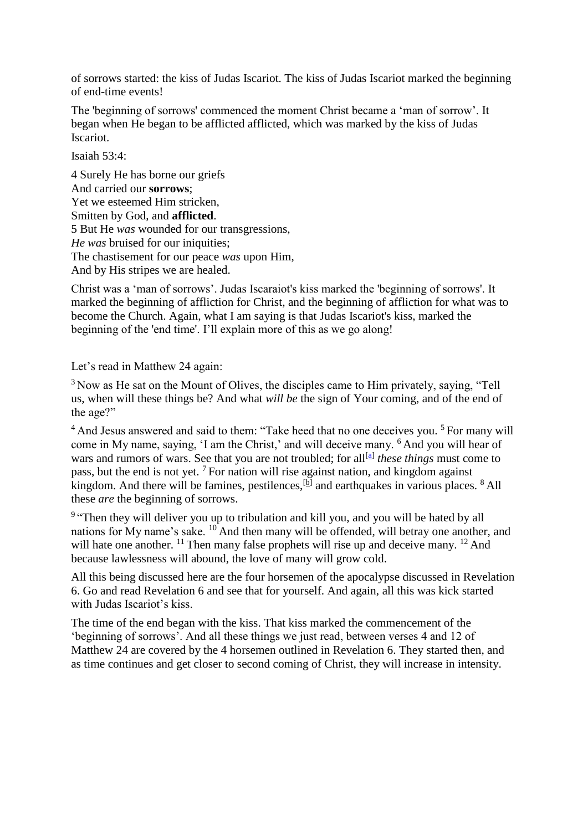of sorrows started: the kiss of Judas Iscariot. The kiss of Judas Iscariot marked the beginning of end-time events!

The 'beginning of sorrows' commenced the moment Christ became a 'man of sorrow'. It began when He began to be afflicted afflicted, which was marked by the kiss of Judas Iscariot.

Isaiah 53:4:

4 Surely He has borne our griefs And carried our **sorrows**; Yet we esteemed Him stricken, Smitten by God, and **afflicted**. 5 But He *was* wounded for our transgressions, *He was* bruised for our iniquities; The chastisement for our peace *was* upon Him, And by His stripes we are healed.

Christ was a 'man of sorrows'. Judas Iscaraiot's kiss marked the 'beginning of sorrows'. It marked the beginning of affliction for Christ, and the beginning of affliction for what was to become the Church. Again, what I am saying is that Judas Iscariot's kiss, marked the beginning of the 'end time'. I'll explain more of this as we go along!

Let's read in Matthew 24 again:

<sup>3</sup> Now as He sat on the Mount of Olives, the disciples came to Him privately, saying, "Tell us, when will these things be? And what *will be* the sign of Your coming, and of the end of the age?"

 $<sup>4</sup>$  And Jesus answered and said to them: "Take heed that no one deceives you.  $<sup>5</sup>$  For many will</sup></sup> come in My name, saying, 'I am the Christ,' and will deceive many. <sup>6</sup> And you will hear of wars and rumors of wars. See that you are not troubled; for all<sup>[\[a\]](https://www.biblegateway.com/passage/?search=matt+24&version=NKJV)</sup> these things must come to pass, but the end is not yet.  $\frac{7}{7}$  For nation will rise against nation, and kingdom against kingdom. And there will be famines, pestilences,  $[<sup>b</sup>]$  and earthquakes in various places. <sup>8</sup> All these *are* the beginning of sorrows.

<sup>9</sup> "Then they will deliver you up to tribulation and kill you, and you will be hated by all nations for My name's sake. <sup>10</sup> And then many will be offended, will betray one another, and will hate one another. <sup>11</sup> Then many false prophets will rise up and deceive many. <sup>12</sup> And because lawlessness will abound, the love of many will grow cold.

All this being discussed here are the four horsemen of the apocalypse discussed in Revelation 6. Go and read Revelation 6 and see that for yourself. And again, all this was kick started with Judas Iscariot's kiss.

The time of the end began with the kiss. That kiss marked the commencement of the 'beginning of sorrows'. And all these things we just read, between verses 4 and 12 of Matthew 24 are covered by the 4 horsemen outlined in Revelation 6. They started then, and as time continues and get closer to second coming of Christ, they will increase in intensity.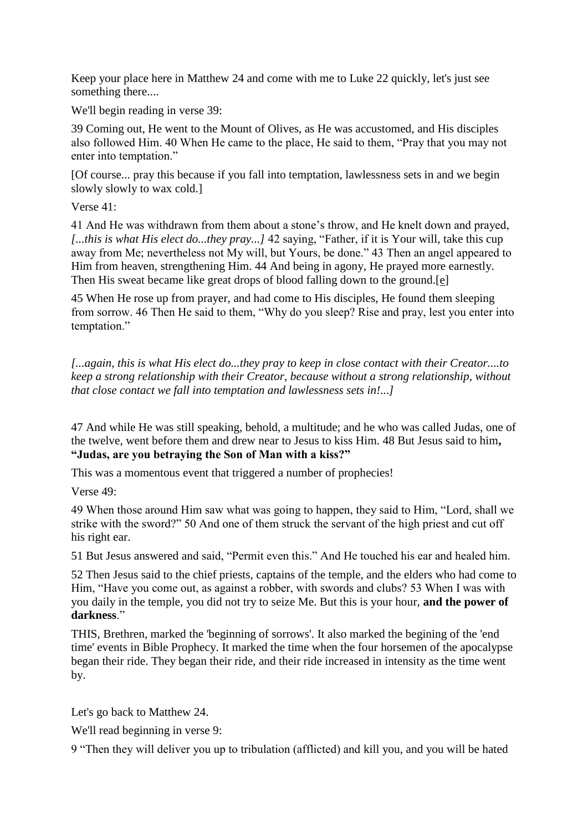Keep your place here in Matthew 24 and come with me to Luke 22 quickly, let's just see something there....

We'll begin reading in verse 39:

39 Coming out, He went to the Mount of Olives, as He was accustomed, and His disciples also followed Him. 40 When He came to the place, He said to them, "Pray that you may not enter into temptation."

[Of course... pray this because if you fall into temptation, lawlessness sets in and we begin slowly slowly to wax cold.]

Verse 41:

41 And He was withdrawn from them about a stone's throw, and He knelt down and prayed, *[...this is what His elect do...they pray...]* 42 saying, "Father, if it is Your will, take this cup away from Me; nevertheless not My will, but Yours, be done." 43 Then an angel appeared to Him from heaven, strengthening Him. 44 And being in agony, He prayed more earnestly. Then His sweat became like great drops of blood falling down to the ground.[e]

45 When He rose up from prayer, and had come to His disciples, He found them sleeping from sorrow. 46 Then He said to them, "Why do you sleep? Rise and pray, lest you enter into temptation."

*[...again, this is what His elect do...they pray to keep in close contact with their Creator....to keep a strong relationship with their Creator, because without a strong relationship, without that close contact we fall into temptation and lawlessness sets in!...]*

47 And while He was still speaking, behold, a multitude; and he who was called Judas, one of the twelve, went before them and drew near to Jesus to kiss Him. 48 But Jesus said to him**, "Judas, are you betraying the Son of Man with a kiss?"**

This was a momentous event that triggered a number of prophecies!

Verse 49:

49 When those around Him saw what was going to happen, they said to Him, "Lord, shall we strike with the sword?" 50 And one of them struck the servant of the high priest and cut off his right ear.

51 But Jesus answered and said, "Permit even this." And He touched his ear and healed him.

52 Then Jesus said to the chief priests, captains of the temple, and the elders who had come to Him, "Have you come out, as against a robber, with swords and clubs? 53 When I was with you daily in the temple, you did not try to seize Me. But this is your hour, **and the power of darkness**."

THIS, Brethren, marked the 'beginning of sorrows'. It also marked the begining of the 'end time' events in Bible Prophecy. It marked the time when the four horsemen of the apocalypse began their ride. They began their ride, and their ride increased in intensity as the time went by.

Let's go back to Matthew 24.

We'll read beginning in verse 9:

9 "Then they will deliver you up to tribulation (afflicted) and kill you, and you will be hated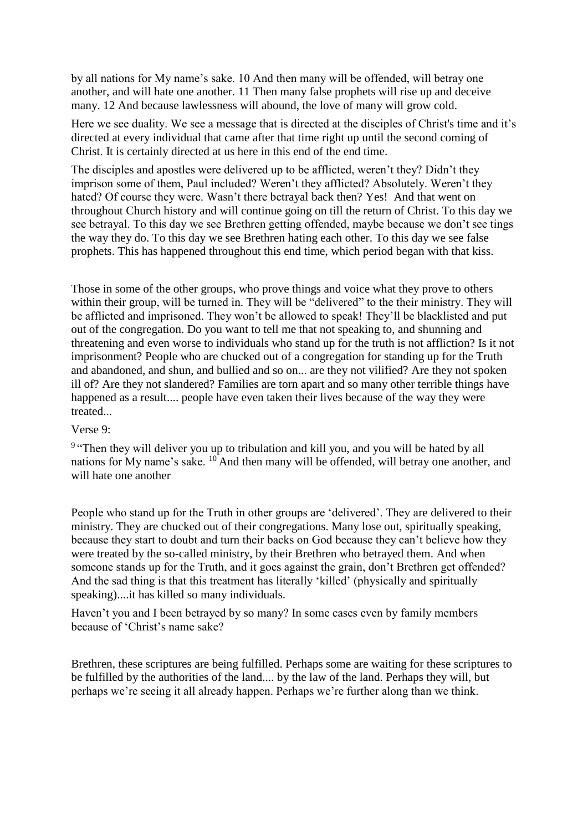by all nations for My name's sake. 10 And then many will be offended, will betray one another, and will hate one another. 11 Then many false prophets will rise up and deceive many. 12 And because lawlessness will abound, the love of many will grow cold.

Here we see duality. We see a message that is directed at the disciples of Christ's time and it's directed at every individual that came after that time right up until the second coming of Christ. It is certainly directed at us here in this end of the end time.

The disciples and apostles were delivered up to be afflicted, weren't they? Didn't they imprison some of them, Paul included? Weren't they afflicted? Absolutely. Weren't they hated? Of course they were. Wasn't there betrayal back then? Yes! And that went on throughout Church history and will continue going on till the return of Christ. To this day we see betrayal. To this day we see Brethren getting offended, maybe because we don't see tings the way they do. To this day we see Brethren hating each other. To this day we see false prophets. This has happened throughout this end time, which period began with that kiss.

Those in some of the other groups, who prove things and voice what they prove to others within their group, will be turned in. They will be "delivered" to the their ministry. They will be afflicted and imprisoned. They won't be allowed to speak! They'll be blacklisted and put out of the congregation. Do you want to tell me that not speaking to, and shunning and threatening and even worse to individuals who stand up for the truth is not affliction? Is it not imprisonment? People who are chucked out of a congregation for standing up for the Truth and abandoned, and shun, and bullied and so on... are they not vilified? Are they not spoken ill of? Are they not slandered? Families are torn apart and so many other terrible things have happened as a result.... people have even taken their lives because of the way they were treated...

### Verse 9:

<sup>9</sup> "Then they will deliver you up to tribulation and kill you, and you will be hated by all nations for My name's sake. <sup>10</sup> And then many will be offended, will betray one another, and will hate one another

People who stand up for the Truth in other groups are 'delivered'. They are delivered to their ministry. They are chucked out of their congregations. Many lose out, spiritually speaking, because they start to doubt and turn their backs on God because they can't believe how they were treated by the so-called ministry, by their Brethren who betrayed them. And when someone stands up for the Truth, and it goes against the grain, don't Brethren get offended? And the sad thing is that this treatment has literally 'killed' (physically and spiritually speaking)....it has killed so many individuals.

Haven't you and I been betrayed by so many? In some cases even by family members because of 'Christ's name sake?

Brethren, these scriptures are being fulfilled. Perhaps some are waiting for these scriptures to be fulfilled by the authorities of the land.... by the law of the land. Perhaps they will, but perhaps we're seeing it all already happen. Perhaps we're further along than we think.